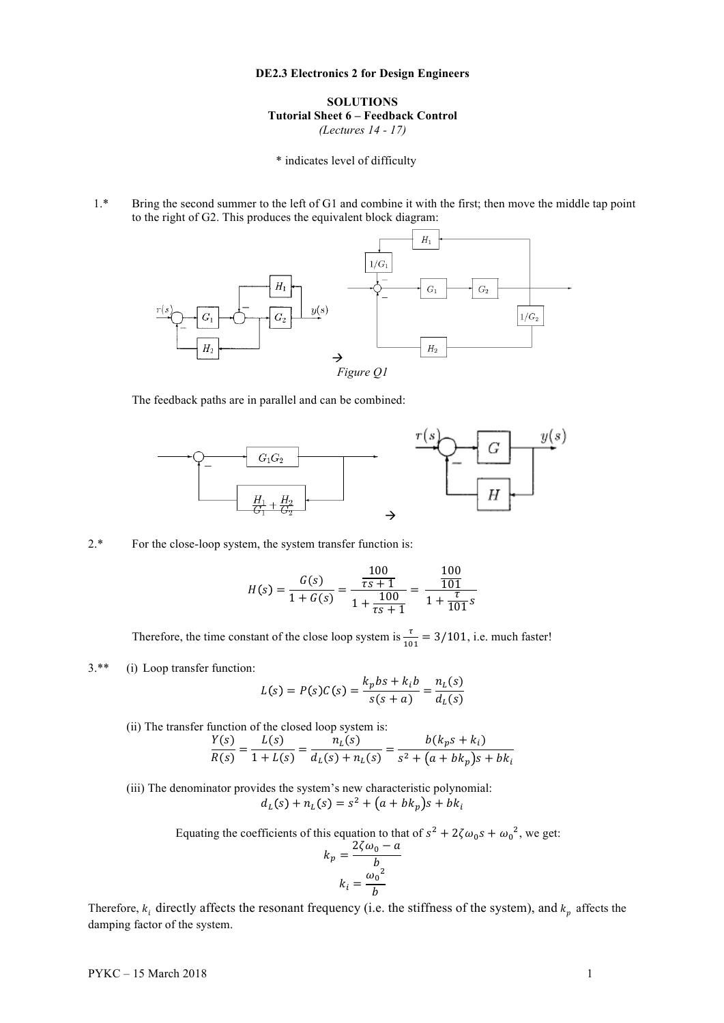## **DE2.3 Electronics 2 for Design Engineers**

**SOLUTIONS Tutorial Sheet 6 – Feedback Control** *(Lectures 14 - 17)*

\* indicates level of difficulty

1.\* Bring the second summer to the left of G1 and combine it with the first; then move the middle tap point to the right of G2. This produces the equivalent block diagram:



The feedback paths are in parallel and can be combined:



## 2.\* For the close-loop system, the system transfer function is:

$$
H(s) = \frac{G(s)}{1 + G(s)} = \frac{\frac{100}{\tau s + 1}}{1 + \frac{100}{\tau s + 1}} = \frac{\frac{100}{101}}{1 + \frac{\tau}{101}s}
$$

Therefore, the time constant of the close loop system is  $\frac{\tau}{101} = 3/101$ , i.e. much faster!

3.\*\* (i) Loop transfer function:

$$
L(s) = P(s)C(s) = \frac{k_pbs + k_ib}{s(s+a)} = \frac{n_L(s)}{d_L(s)}
$$

(ii) The transfer function of the closed loop system is:  
\n
$$
\frac{Y(s)}{R(s)} = \frac{L(s)}{1 + L(s)} = \frac{n_L(s)}{d_L(s) + n_L(s)} = \frac{b(k_p s + k_i)}{s^2 + (a + bk_p)s + bk_i}
$$

(iii) The denominator provides the system's new characteristic polynomial:  $d_L(s) + n_L(s) = s^2 + (a + bk_p)s + bk_i$ 

Equating the coefficients of this equation to that of  $s^2 + 2\zeta \omega_0 s + {\omega_0}^2$ , we get:

$$
k_p = \frac{2\zeta\omega_0 - a}{b}
$$

$$
k_i = \frac{{\omega_0}^2}{b}
$$

Therefore,  $k_i$  directly affects the resonant frequency (i.e. the stiffness of the system), and  $k_p$  affects the damping factor of the system.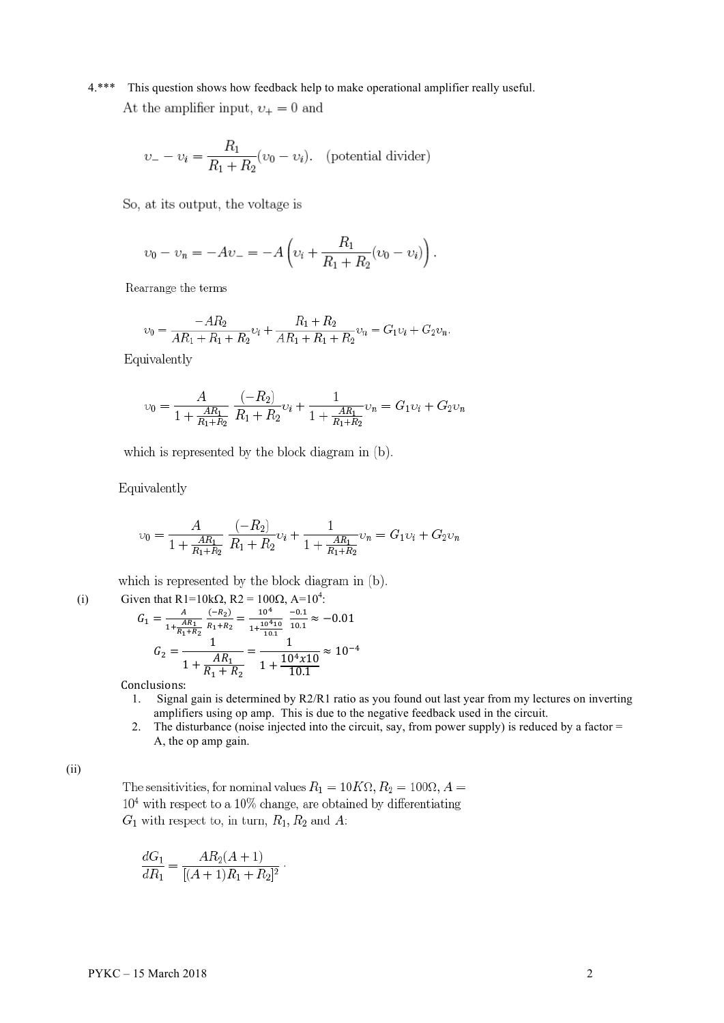4.\*\*\* This question shows how feedback help to make operational amplifier really useful. At the amplifier input,  $\nu_+ = 0$  and

$$
\upsilon_- - \upsilon_i = \frac{R_1}{R_1 + R_2} (\upsilon_0 - \upsilon_i). \quad \text{(potential divider)}
$$

So, at its output, the voltage is

$$
v_0 - v_n = -Av_- = -A \left( v_i + \frac{R_1}{R_1 + R_2} (v_0 - v_i) \right).
$$

Rearrange the terms

$$
v_0 = \frac{-AR_2}{AR_1 + R_1 + R_2}v_i + \frac{R_1 + R_2}{AR_1 + R_1 + R_2}v_n = G_1v_i + G_2v_n.
$$

Equivalently

$$
\upsilon_0 = \frac{A}{1 + \frac{AR_1}{R_1 + R_2}} \frac{(-R_2)}{R_1 + R_2} \upsilon_i + \frac{1}{1 + \frac{AR_1}{R_1 + R_2}} \upsilon_n = G_1 \upsilon_i + G_2 \upsilon_n
$$

which is represented by the block diagram in (b).

Equivalently

$$
\upsilon_0 = \frac{A}{1 + \frac{AR_1}{R_1 + R_2}} \frac{(-R_2)}{R_1 + R_2} \upsilon_i + \frac{1}{1 + \frac{AR_1}{R_1 + R_2}} \upsilon_n = G_1 \upsilon_i + G_2 \upsilon_n
$$

which is represented by the block diagram in (b).

(i) Given that R1=10k
$$
\Omega
$$
, R2 = 100 $\Omega$ , A=10<sup>4</sup>:  
\n
$$
G_1 = \frac{A}{1 + \frac{AR_1}{R_1 + R_2}} \frac{(-R_2)}{R_1 + R_2} = \frac{10^4}{1 + \frac{10^4 10}{10.1}} \frac{-0.1}{10.1} \approx -0.01
$$
\n
$$
G_2 = \frac{1}{1 + \frac{AR_1}{R_1 + R_2}} = \frac{1}{1 + \frac{10^4 \times 10}{10.1}} \approx 10^{-4}
$$

Conclusions:

- 1. Signal gain is determined by R2/R1 ratio as you found out last year from my lectures on inverting amplifiers using op amp. This is due to the negative feedback used in the circuit.
- 2. The disturbance (noise injected into the circuit, say, from power supply) is reduced by a factor = A, the op amp gain.

(ii)

The sensitivities, for nominal values  $R_1 = 10K\Omega$ ,  $R_2 = 100\Omega$ ,  $A =$  $10<sup>4</sup>$  with respect to a 10% change, are obtained by differentiating  $G_1$  with respect to, in turn,  $R_1, R_2$  and A:

$$
\frac{dG_1}{dR_1} = \frac{AR_2(A+1)}{[(A+1)R_1 + R_2]^2}.
$$